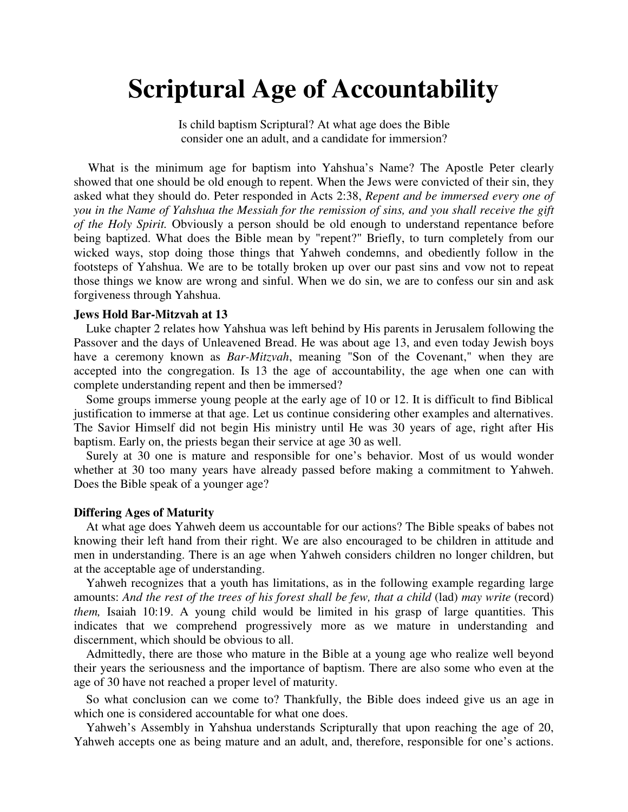# **Scriptural Age of Accountability**

Is child baptism Scriptural? At what age does the Bible consider one an adult, and a candidate for immersion?

What is the minimum age for baptism into Yahshua's Name? The Apostle Peter clearly showed that one should be old enough to repent. When the Jews were convicted of their sin, they asked what they should do. Peter responded in Acts 2:38, *Repent and be immersed every one of you in the Name of Yahshua the Messiah for the remission of sins, and you shall receive the gift of the Holy Spirit.* Obviously a person should be old enough to understand repentance before being baptized. What does the Bible mean by "repent?" Briefly, to turn completely from our wicked ways, stop doing those things that Yahweh condemns, and obediently follow in the footsteps of Yahshua. We are to be totally broken up over our past sins and vow not to repeat those things we know are wrong and sinful. When we do sin, we are to confess our sin and ask forgiveness through Yahshua.

#### **Jews Hold Bar-Mitzvah at 13**

Luke chapter 2 relates how Yahshua was left behind by His parents in Jerusalem following the Passover and the days of Unleavened Bread. He was about age 13, and even today Jewish boys have a ceremony known as *Bar-Mitzvah*, meaning "Son of the Covenant," when they are accepted into the congregation. Is 13 the age of accountability, the age when one can with complete understanding repent and then be immersed?

Some groups immerse young people at the early age of 10 or 12. It is difficult to find Biblical justification to immerse at that age. Let us continue considering other examples and alternatives. The Savior Himself did not begin His ministry until He was 30 years of age, right after His baptism. Early on, the priests began their service at age 30 as well.

Surely at 30 one is mature and responsible for one's behavior. Most of us would wonder whether at 30 too many years have already passed before making a commitment to Yahweh. Does the Bible speak of a younger age?

#### **Differing Ages of Maturity**

At what age does Yahweh deem us accountable for our actions? The Bible speaks of babes not knowing their left hand from their right. We are also encouraged to be children in attitude and men in understanding. There is an age when Yahweh considers children no longer children, but at the acceptable age of understanding.

Yahweh recognizes that a youth has limitations, as in the following example regarding large amounts: And the rest of the trees of his forest shall be few, that a child (lad) may write (record) *them*, Isaiah 10:19. A young child would be limited in his grasp of large quantities. This indicates that we comprehend progressively more as we mature in understanding and discernment, which should be obvious to all.

Admittedly, there are those who mature in the Bible at a young age who realize well beyond their years the seriousness and the importance of baptism. There are also some who even at the age of 30 have not reached a proper level of maturity.

So what conclusion can we come to? Thankfully, the Bible does indeed give us an age in which one is considered accountable for what one does.

Yahweh's Assembly in Yahshua understands Scripturally that upon reaching the age of 20, Yahweh accepts one as being mature and an adult, and, therefore, responsible for one's actions.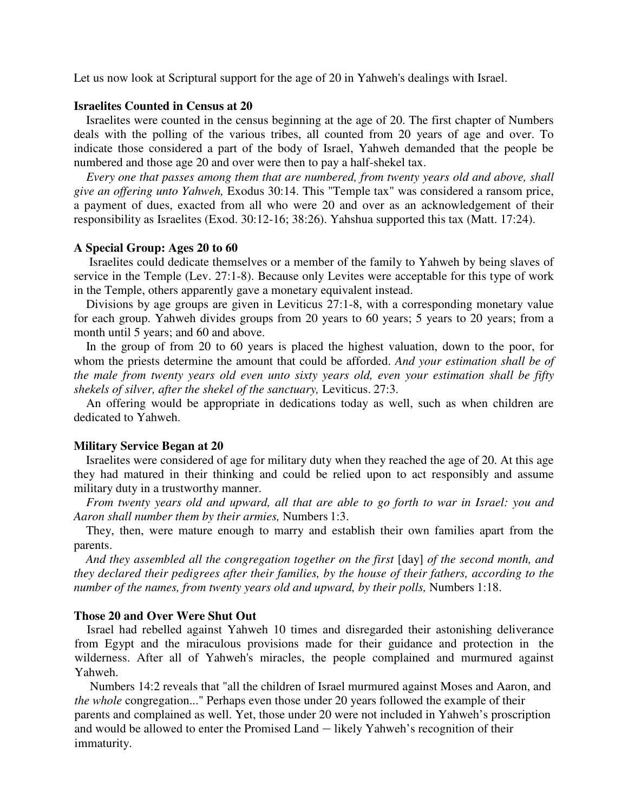Let us now look at Scriptural support for the age of 20 in Yahweh's dealings with Israel.

## **Israelites Counted in Census at 20**

Israelites were counted in the census beginning at the age of 20. The first chapter of Numbers deals with the polling of the various tribes, all counted from 20 years of age and over. To indicate those considered a part of the body of Israel, Yahweh demanded that the people be numbered and those age 20 and over were then to pay a half-shekel tax.

*Every one that passes among them that are numbered, from twenty years old and above, shall give an offering unto Yahweh,* Exodus 30:14. This "Temple tax" was considered a ransom price, a payment of dues, exacted from all who were 20 and over as an acknowledgement of their responsibility as Israelites (Exod. 30:12-16; 38:26). Yahshua supported this tax (Matt. 17:24).

#### **A Special Group: Ages 20 to 60**

 Israelites could dedicate themselves or a member of the family to Yahweh by being slaves of service in the Temple (Lev. 27:1-8). Because only Levites were acceptable for this type of work in the Temple, others apparently gave a monetary equivalent instead.

Divisions by age groups are given in Leviticus 27:1-8, with a corresponding monetary value for each group. Yahweh divides groups from 20 years to 60 years; 5 years to 20 years; from a month until 5 years; and 60 and above.

In the group of from 20 to 60 years is placed the highest valuation, down to the poor, for whom the priests determine the amount that could be afforded. *And your estimation shall be of the male from twenty years old even unto sixty years old, even your estimation shall be fifty shekels of silver, after the shekel of the sanctuary,* Leviticus. 27:3.

An offering would be appropriate in dedications today as well, such as when children are dedicated to Yahweh.

#### **Military Service Began at 20**

Israelites were considered of age for military duty when they reached the age of 20. At this age they had matured in their thinking and could be relied upon to act responsibly and assume military duty in a trustworthy manner.

*From twenty years old and upward, all that are able to go forth to war in Israel: you and Aaron shall number them by their armies,* Numbers 1:3.

They, then, were mature enough to marry and establish their own families apart from the parents.

*And they assembled all the congregation together on the first* [day] *of the second month, and they declared their pedigrees after their families, by the house of their fathers, according to the number of the names, from twenty years old and upward, by their polls, Numbers 1:18.* 

## **Those 20 and Over Were Shut Out**

Israel had rebelled against Yahweh 10 times and disregarded their astonishing deliverance from Egypt and the miraculous provisions made for their guidance and protection in the wilderness. After all of Yahweh's miracles, the people complained and murmured against Yahweh.

 Numbers 14:2 reveals that "all the children of Israel murmured against Moses and Aaron, and *the whole* congregation..." Perhaps even those under 20 years followed the example of their parents and complained as well. Yet, those under 20 were not included in Yahweh's proscription and would be allowed to enter the Promised Land — likely Yahweh's recognition of their immaturity.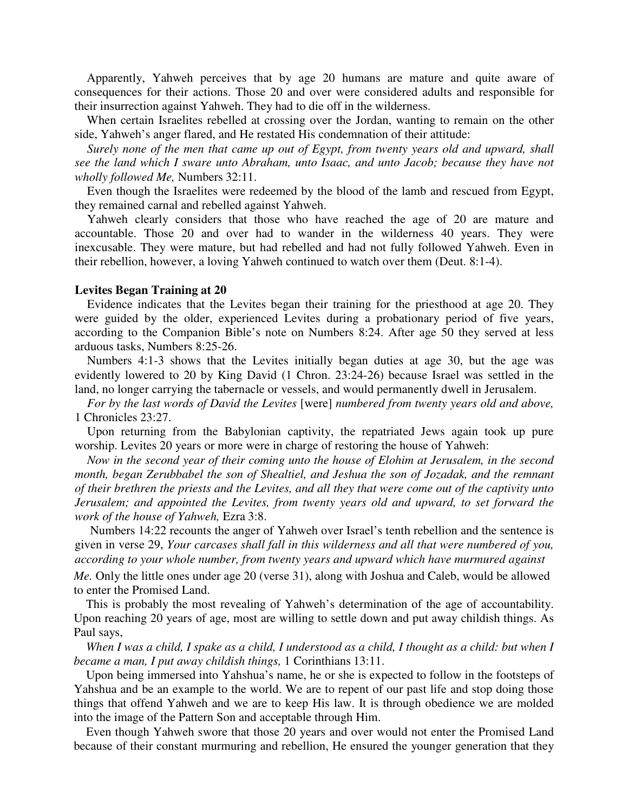Apparently, Yahweh perceives that by age 20 humans are mature and quite aware of consequences for their actions. Those 20 and over were considered adults and responsible for their insurrection against Yahweh. They had to die off in the wilderness.

When certain Israelites rebelled at crossing over the Jordan, wanting to remain on the other side, Yahweh's anger flared, and He restated His condemnation of their attitude:

*Surely none of the men that came up out of Egypt, from twenty years old and upward, shall see the land which I sware unto Abraham, unto Isaac, and unto Jacob; because they have not wholly followed Me,* Numbers 32:11.

Even though the Israelites were redeemed by the blood of the lamb and rescued from Egypt, they remained carnal and rebelled against Yahweh.

Yahweh clearly considers that those who have reached the age of 20 are mature and accountable. Those 20 and over had to wander in the wilderness 40 years. They were inexcusable. They were mature, but had rebelled and had not fully followed Yahweh. Even in their rebellion, however, a loving Yahweh continued to watch over them (Deut. 8:1-4).

### **Levites Began Training at 20**

Evidence indicates that the Levites began their training for the priesthood at age 20. They were guided by the older, experienced Levites during a probationary period of five years, according to the Companion Bible's note on Numbers 8:24. After age 50 they served at less arduous tasks, Numbers 8:25-26.

Numbers 4:1-3 shows that the Levites initially began duties at age 30, but the age was evidently lowered to 20 by King David (1 Chron. 23:24-26) because Israel was settled in the land, no longer carrying the tabernacle or vessels, and would permanently dwell in Jerusalem.

*For by the last words of David the Levites* [were] *numbered from twenty years old and above,*  1 Chronicles 23:27.

Upon returning from the Babylonian captivity, the repatriated Jews again took up pure worship. Levites 20 years or more were in charge of restoring the house of Yahweh:

*Now in the second year of their coming unto the house of Elohim at Jerusalem, in the second month, began Zerubbabel the son of Shealtiel, and Jeshua the son of Jozadak, and the remnant of their brethren the priests and the Levites, and all they that were come out of the captivity unto Jerusalem; and appointed the Levites, from twenty years old and upward, to set forward the work of the house of Yahweh,* Ezra 3:8.

Numbers 14:22 recounts the anger of Yahweh over Israel's tenth rebellion and the sentence is given in verse 29, *Your carcases shall fall in this wilderness and all that were numbered of you, according to your whole number, from twenty years and upward which have murmured against*

*Me.* Only the little ones under age 20 (verse 31), along with Joshua and Caleb, would be allowed to enter the Promised Land.

This is probably the most revealing of Yahweh's determination of the age of accountability. Upon reaching 20 years of age, most are willing to settle down and put away childish things. As Paul says,

*When I was a child, I spake as a child, I understood as a child, I thought as a child: but when I became a man, I put away childish things,* 1 Corinthians 13:11.

Upon being immersed into Yahshua's name, he or she is expected to follow in the footsteps of Yahshua and be an example to the world. We are to repent of our past life and stop doing those things that offend Yahweh and we are to keep His law. It is through obedience we are molded into the image of the Pattern Son and acceptable through Him.

Even though Yahweh swore that those 20 years and over would not enter the Promised Land because of their constant murmuring and rebellion, He ensured the younger generation that they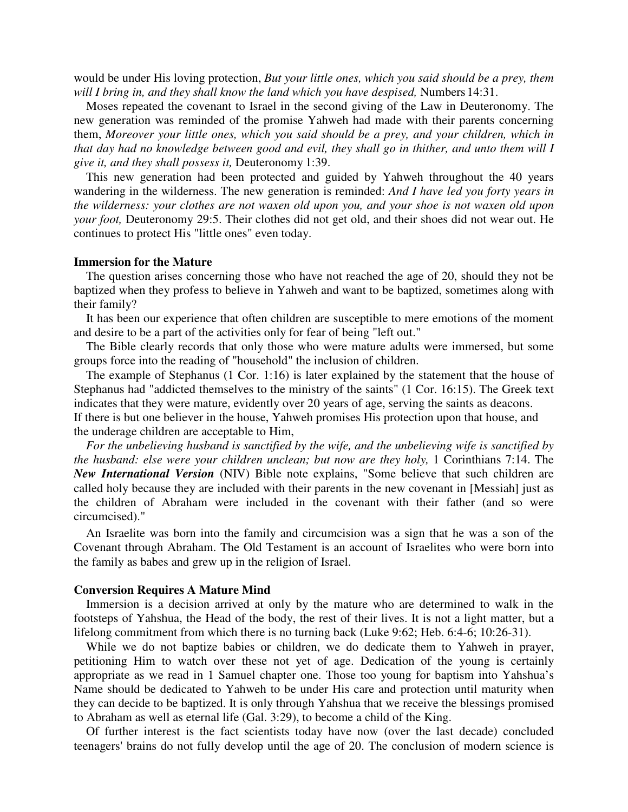would be under His loving protection, *But your little ones, which you said should be a prey, them*  will I bring in, and they shall know the land which you have despised, Numbers 14:31.

Moses repeated the covenant to Israel in the second giving of the Law in Deuteronomy. The new generation was reminded of the promise Yahweh had made with their parents concerning them, *Moreover your little ones, which you said should be a prey, and your children, which in that day had no knowledge between good and evil, they shall go in thither, and unto them will I give it, and they shall possess it,* Deuteronomy 1:39.

This new generation had been protected and guided by Yahweh throughout the 40 years wandering in the wilderness. The new generation is reminded: *And I have led you forty years in the wilderness: your clothes are not waxen old upon you, and your shoe is not waxen old upon your foot,* Deuteronomy 29:5. Their clothes did not get old, and their shoes did not wear out. He continues to protect His "little ones" even today.

### **Immersion for the Mature**

The question arises concerning those who have not reached the age of 20, should they not be baptized when they profess to believe in Yahweh and want to be baptized, sometimes along with their family?

It has been our experience that often children are susceptible to mere emotions of the moment and desire to be a part of the activities only for fear of being "left out."

The Bible clearly records that only those who were mature adults were immersed, but some groups force into the reading of "household" the inclusion of children.

The example of Stephanus (1 Cor. 1:16) is later explained by the statement that the house of Stephanus had "addicted themselves to the ministry of the saints" (1 Cor. 16:15). The Greek text indicates that they were mature, evidently over 20 years of age, serving the saints as deacons. If there is but one believer in the house, Yahweh promises His protection upon that house, and the underage children are acceptable to Him,

*For the unbelieving husband is sanctified by the wife, and the unbelieving wife is sanctified by the husband: else were your children unclean; but now are they holy, 1 Corinthians 7:14. The New International Version* (NIV) Bible note explains, "Some believe that such children are called holy because they are included with their parents in the new covenant in [Messiah] just as the children of Abraham were included in the covenant with their father (and so were circumcised)."

An Israelite was born into the family and circumcision was a sign that he was a son of the Covenant through Abraham. The Old Testament is an account of Israelites who were born into the family as babes and grew up in the religion of Israel.

#### **Conversion Requires A Mature Mind**

Immersion is a decision arrived at only by the mature who are determined to walk in the footsteps of Yahshua, the Head of the body, the rest of their lives. It is not a light matter, but a lifelong commitment from which there is no turning back (Luke 9:62; Heb. 6:4-6; 10:26-31).

While we do not baptize babies or children, we do dedicate them to Yahweh in prayer, petitioning Him to watch over these not yet of age. Dedication of the young is certainly appropriate as we read in 1 Samuel chapter one. Those too young for baptism into Yahshua's Name should be dedicated to Yahweh to be under His care and protection until maturity when they can decide to be baptized. It is only through Yahshua that we receive the blessings promised to Abraham as well as eternal life (Gal. 3:29), to become a child of the King.

Of further interest is the fact scientists today have now (over the last decade) concluded teenagers' brains do not fully develop until the age of 20. The conclusion of modern science is